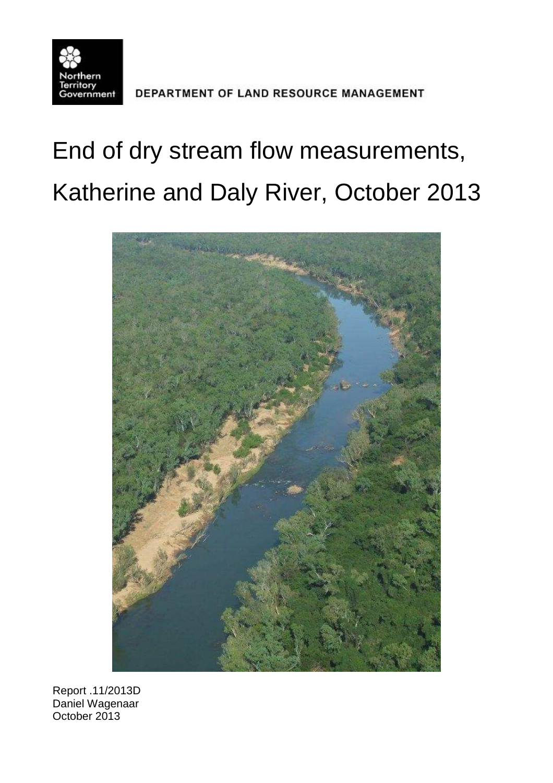

DEPARTMENT OF LAND RESOURCE MANAGEMENT

# End of dry stream flow measurements, Katherine and Daly River, October 2013



Report .11/2013D Daniel Wagenaar October 2013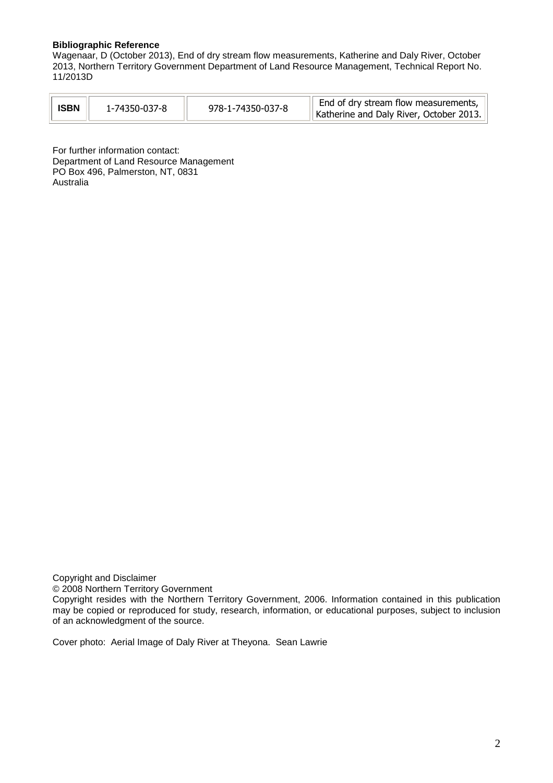#### **Bibliographic Reference**

Wagenaar, D (October 2013), End of dry stream flow measurements, Katherine and Daly River, October 2013, Northern Territory Government Department of Land Resource Management, Technical Report No. 11/2013D

For further information contact: Department of Land Resource Management PO Box 496, Palmerston, NT, 0831 Australia

Copyright and Disclaimer © 2008 Northern Territory Government

Copyright resides with the Northern Territory Government, 2006. Information contained in this publication may be copied or reproduced for study, research, information, or educational purposes, subject to inclusion of an acknowledgment of the source.

Cover photo: Aerial Image of Daly River at Theyona. Sean Lawrie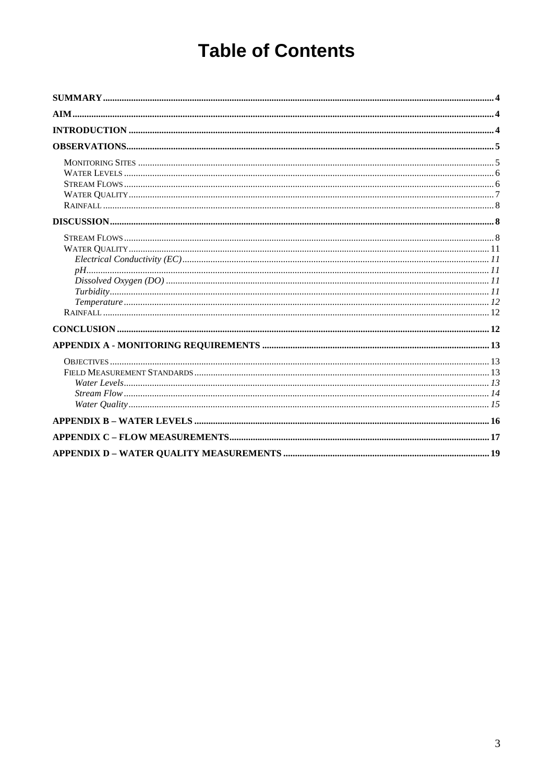# **Table of Contents**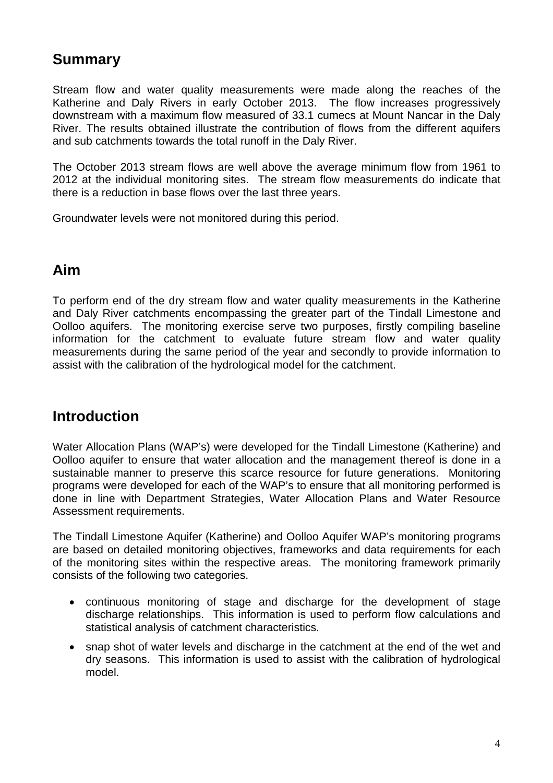# <span id="page-3-0"></span>**Summary**

Stream flow and water quality measurements were made along the reaches of the Katherine and Daly Rivers in early October 2013. The flow increases progressively downstream with a maximum flow measured of 33.1 cumecs at Mount Nancar in the Daly River. The results obtained illustrate the contribution of flows from the different aquifers and sub catchments towards the total runoff in the Daly River.

The October 2013 stream flows are well above the average minimum flow from 1961 to 2012 at the individual monitoring sites. The stream flow measurements do indicate that there is a reduction in base flows over the last three years.

Groundwater levels were not monitored during this period.

### <span id="page-3-1"></span>**Aim**

To perform end of the dry stream flow and water quality measurements in the Katherine and Daly River catchments encompassing the greater part of the Tindall Limestone and Oolloo aquifers. The monitoring exercise serve two purposes, firstly compiling baseline information for the catchment to evaluate future stream flow and water quality measurements during the same period of the year and secondly to provide information to assist with the calibration of the hydrological model for the catchment.

### <span id="page-3-2"></span>**Introduction**

Water Allocation Plans (WAP's) were developed for the Tindall Limestone (Katherine) and Oolloo aquifer to ensure that water allocation and the management thereof is done in a sustainable manner to preserve this scarce resource for future generations. Monitoring programs were developed for each of the WAP's to ensure that all monitoring performed is done in line with Department Strategies, Water Allocation Plans and Water Resource Assessment requirements.

The Tindall Limestone Aquifer (Katherine) and Oolloo Aquifer WAP's monitoring programs are based on detailed monitoring objectives, frameworks and data requirements for each of the monitoring sites within the respective areas. The monitoring framework primarily consists of the following two categories.

- continuous monitoring of stage and discharge for the development of stage discharge relationships. This information is used to perform flow calculations and statistical analysis of catchment characteristics.
- snap shot of water levels and discharge in the catchment at the end of the wet and dry seasons. This information is used to assist with the calibration of hydrological model.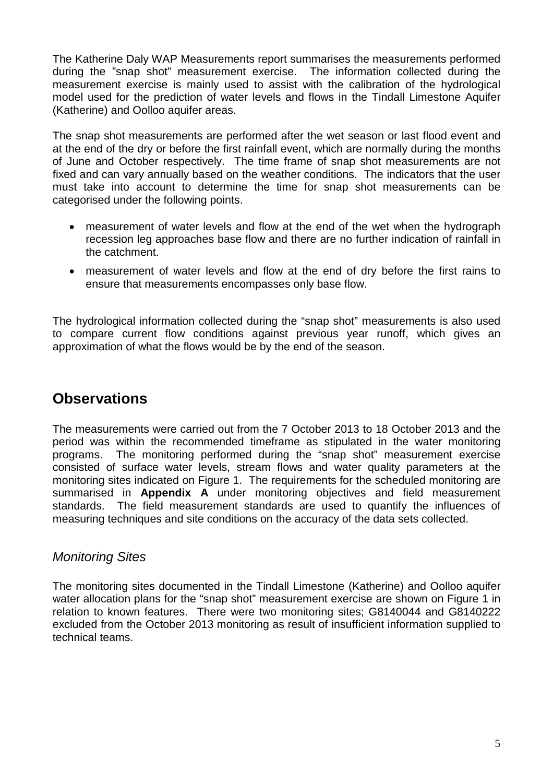The Katherine Daly WAP Measurements report summarises the measurements performed during the "snap shot" measurement exercise. The information collected during the measurement exercise is mainly used to assist with the calibration of the hydrological model used for the prediction of water levels and flows in the Tindall Limestone Aquifer (Katherine) and Oolloo aquifer areas.

The snap shot measurements are performed after the wet season or last flood event and at the end of the dry or before the first rainfall event, which are normally during the months of June and October respectively. The time frame of snap shot measurements are not fixed and can vary annually based on the weather conditions. The indicators that the user must take into account to determine the time for snap shot measurements can be categorised under the following points.

- measurement of water levels and flow at the end of the wet when the hydrograph recession leg approaches base flow and there are no further indication of rainfall in the catchment.
- measurement of water levels and flow at the end of dry before the first rains to ensure that measurements encompasses only base flow.

The hydrological information collected during the "snap shot" measurements is also used to compare current flow conditions against previous year runoff, which gives an approximation of what the flows would be by the end of the season.

# <span id="page-4-0"></span>**Observations**

The measurements were carried out from the 7 October 2013 to 18 October 2013 and the period was within the recommended timeframe as stipulated in the water monitoring programs. The monitoring performed during the "snap shot" measurement exercise consisted of surface water levels, stream flows and water quality parameters at the monitoring sites indicated on Figure 1. The requirements for the scheduled monitoring are summarised in **Appendix A** under monitoring objectives and field measurement standards. The field measurement standards are used to quantify the influences of measuring techniques and site conditions on the accuracy of the data sets collected.

#### <span id="page-4-1"></span>*Monitoring Sites*

The monitoring sites documented in the Tindall Limestone (Katherine) and Oolloo aquifer water allocation plans for the "snap shot" measurement exercise are shown on Figure 1 in relation to known features. There were two monitoring sites; G8140044 and G8140222 excluded from the October 2013 monitoring as result of insufficient information supplied to technical teams.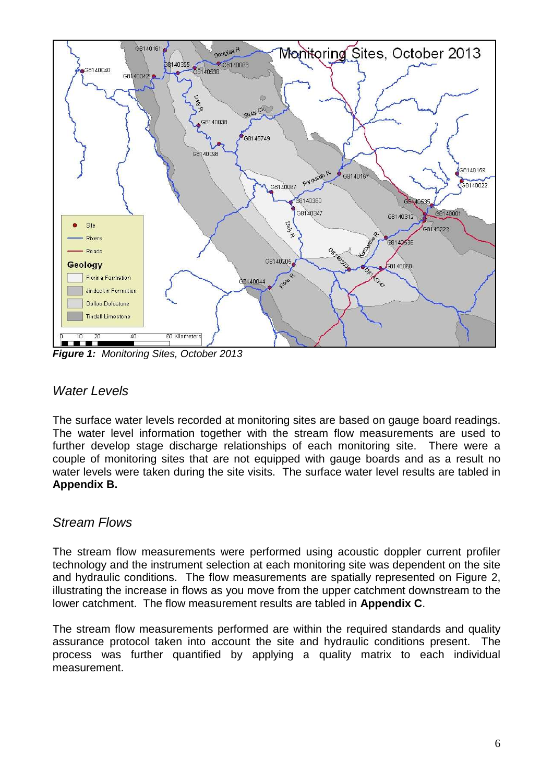

*Figure 1: Monitoring Sites, October 2013*

#### <span id="page-5-0"></span>*Water Levels*

The surface water levels recorded at monitoring sites are based on gauge board readings. The water level information together with the stream flow measurements are used to further develop stage discharge relationships of each monitoring site. There were a couple of monitoring sites that are not equipped with gauge boards and as a result no water levels were taken during the site visits. The surface water level results are tabled in **Appendix B.**

#### <span id="page-5-1"></span>*Stream Flows*

The stream flow measurements were performed using acoustic doppler current profiler technology and the instrument selection at each monitoring site was dependent on the site and hydraulic conditions. The flow measurements are spatially represented on Figure 2, illustrating the increase in flows as you move from the upper catchment downstream to the lower catchment. The flow measurement results are tabled in **Appendix C**.

The stream flow measurements performed are within the required standards and quality assurance protocol taken into account the site and hydraulic conditions present. The process was further quantified by applying a quality matrix to each individual measurement.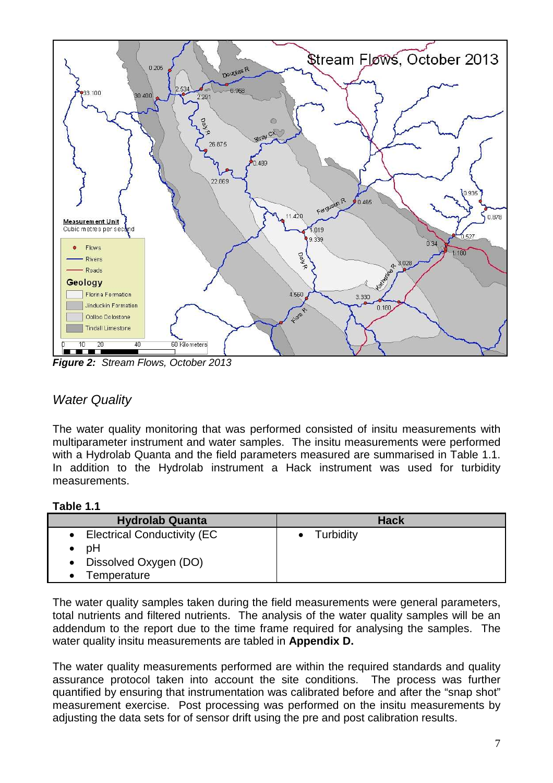

*Figure 2: Stream Flows, October 2013*

#### <span id="page-6-0"></span>*Water Quality*

The water quality monitoring that was performed consisted of insitu measurements with multiparameter instrument and water samples. The insitu measurements were performed with a Hydrolab Quanta and the field parameters measured are summarised in Table 1.1. In addition to the Hydrolab instrument a Hack instrument was used for turbidity measurements.

#### **Table 1.1**

| <b>Hydrolab Quanta</b>        | <b>Hack</b> |
|-------------------------------|-------------|
| • Electrical Conductivity (EC | • Turbidity |
| рH                            |             |
| • Dissolved Oxygen (DO)       |             |
| Temperature                   |             |

The water quality samples taken during the field measurements were general parameters, total nutrients and filtered nutrients. The analysis of the water quality samples will be an addendum to the report due to the time frame required for analysing the samples. The water quality insitu measurements are tabled in **Appendix D.**

The water quality measurements performed are within the required standards and quality assurance protocol taken into account the site conditions. The process was further quantified by ensuring that instrumentation was calibrated before and after the "snap shot" measurement exercise. Post processing was performed on the insitu measurements by adjusting the data sets for of sensor drift using the pre and post calibration results.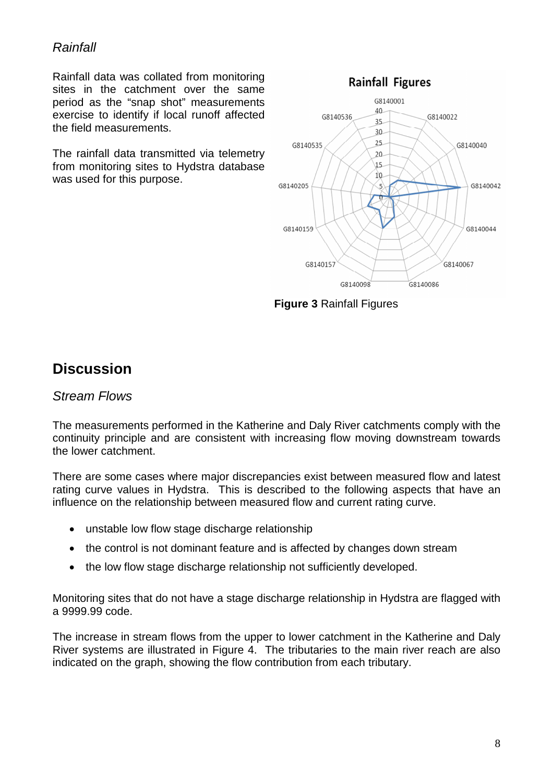#### <span id="page-7-0"></span>*Rainfall*

Rainfall data was collated from monitoring sites in the catchment over the same period as the "snap shot" measurements exercise to identify if local runoff affected the field measurements.

The rainfall data transmitted via telemetry from monitoring sites to Hydstra database was used for this purpose.



**Figure 3** Rainfall Figures

# <span id="page-7-2"></span><span id="page-7-1"></span>**Discussion**

#### *Stream Flows*

The measurements performed in the Katherine and Daly River catchments comply with the continuity principle and are consistent with increasing flow moving downstream towards the lower catchment.

There are some cases where major discrepancies exist between measured flow and latest rating curve values in Hydstra. This is described to the following aspects that have an influence on the relationship between measured flow and current rating curve.

- unstable low flow stage discharge relationship
- the control is not dominant feature and is affected by changes down stream
- the low flow stage discharge relationship not sufficiently developed.

Monitoring sites that do not have a stage discharge relationship in Hydstra are flagged with a 9999.99 code.

The increase in stream flows from the upper to lower catchment in the Katherine and Daly River systems are illustrated in Figure 4. The tributaries to the main river reach are also indicated on the graph, showing the flow contribution from each tributary.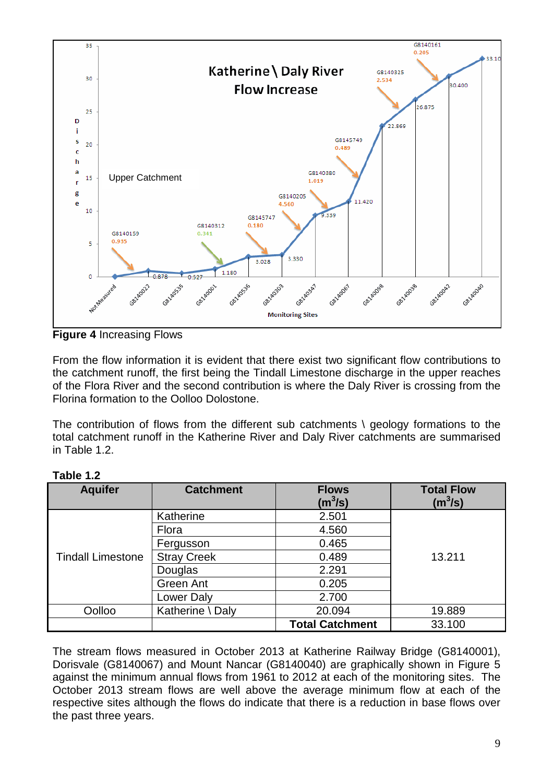

**Figure 4** Increasing Flows

From the flow information it is evident that there exist two significant flow contributions to the catchment runoff, the first being the Tindall Limestone discharge in the upper reaches of the Flora River and the second contribution is where the Daly River is crossing from the Florina formation to the Oolloo Dolostone.

The contribution of flows from the different sub catchments \ geology formations to the total catchment runoff in the Katherine River and Daly River catchments are summarised in Table 1.2.

| <b>Aquifer</b>           | <b>Catchment</b>   | <b>Flows</b><br>(m $^{3}$ /s) | <b>Total Flow</b><br>(m <sup>3</sup> /s) |  |  |
|--------------------------|--------------------|-------------------------------|------------------------------------------|--|--|
|                          | Katherine          | 2.501                         |                                          |  |  |
|                          | Flora              | 4.560                         |                                          |  |  |
|                          | Fergusson          | 0.465                         |                                          |  |  |
| <b>Tindall Limestone</b> | <b>Stray Creek</b> | 0.489                         | 13.211                                   |  |  |
|                          | Douglas            | 2.291                         |                                          |  |  |
|                          | Green Ant          | 0.205                         |                                          |  |  |
|                          | Lower Daly         | 2.700                         |                                          |  |  |
| Oolloo                   | Katherine \ Daly   | 20.094                        | 19.889                                   |  |  |
|                          |                    | <b>Total Catchment</b>        | 33.100                                   |  |  |

| Table 1.2 |  |
|-----------|--|
|-----------|--|

The stream flows measured in October 2013 at Katherine Railway Bridge (G8140001), Dorisvale (G8140067) and Mount Nancar (G8140040) are graphically shown in Figure 5 against the minimum annual flows from 1961 to 2012 at each of the monitoring sites. The October 2013 stream flows are well above the average minimum flow at each of the respective sites although the flows do indicate that there is a reduction in base flows over the past three years.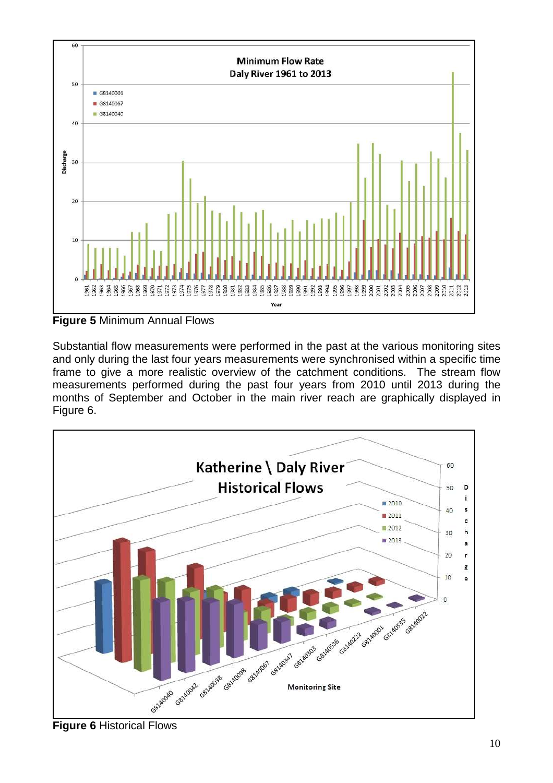

**Figure 5** Minimum Annual Flows

Substantial flow measurements were performed in the past at the various monitoring sites and only during the last four years measurements were synchronised within a specific time frame to give a more realistic overview of the catchment conditions. The stream flow measurements performed during the past four years from 2010 until 2013 during the months of September and October in the main river reach are graphically displayed in Figure 6.

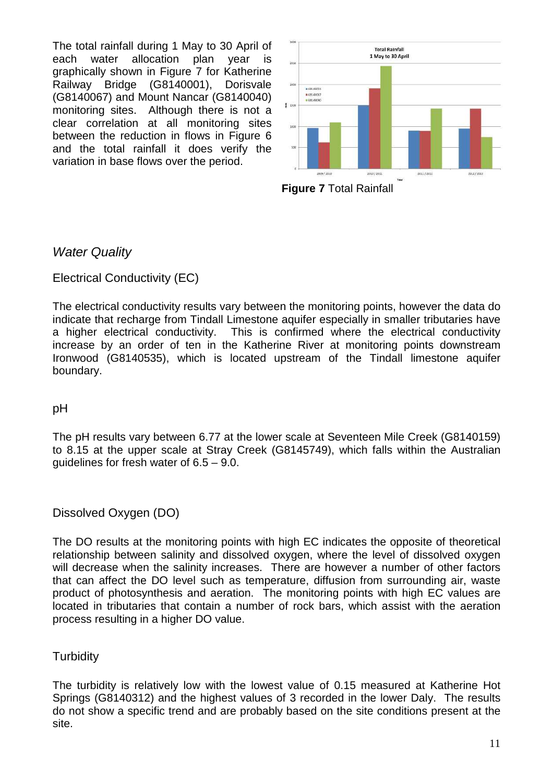The total rainfall during 1 May to 30 April of each water allocation plan year is graphically shown in Figure 7 for Katherine Railway Bridge (G8140001), Dorisvale (G8140067) and Mount Nancar (G8140040) monitoring sites. Although there is not a clear correlation at all monitoring sites between the reduction in flows in Figure 6 and the total rainfall it does verify the variation in base flows over the period.





#### <span id="page-10-1"></span><span id="page-10-0"></span>*Water Quality*

#### Electrical Conductivity (EC)

The electrical conductivity results vary between the monitoring points, however the data do indicate that recharge from Tindall Limestone aquifer especially in smaller tributaries have a higher electrical conductivity. This is confirmed where the electrical conductivity increase by an order of ten in the Katherine River at monitoring points downstream Ironwood (G8140535), which is located upstream of the Tindall limestone aquifer boundary.

#### <span id="page-10-2"></span>pH

The pH results vary between 6.77 at the lower scale at Seventeen Mile Creek (G8140159) to 8.15 at the upper scale at Stray Creek (G8145749), which falls within the Australian guidelines for fresh water of 6.5 – 9.0.

#### <span id="page-10-3"></span>Dissolved Oxygen (DO)

The DO results at the monitoring points with high EC indicates the opposite of theoretical relationship between salinity and dissolved oxygen, where the level of dissolved oxygen will decrease when the salinity increases. There are however a number of other factors that can affect the DO level such as temperature, diffusion from surrounding air, waste product of photosynthesis and aeration. The monitoring points with high EC values are located in tributaries that contain a number of rock bars, which assist with the aeration process resulting in a higher DO value.

#### <span id="page-10-4"></span>**Turbidity**

The turbidity is relatively low with the lowest value of 0.15 measured at Katherine Hot Springs (G8140312) and the highest values of 3 recorded in the lower Daly. The results do not show a specific trend and are probably based on the site conditions present at the site.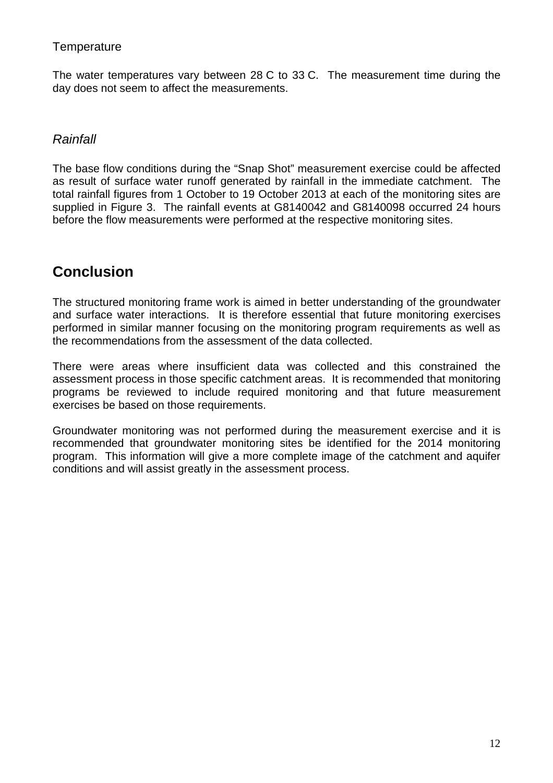#### <span id="page-11-0"></span>**Temperature**

The water temperatures vary between 28 C to 33 C. The measurement time during the day does not seem to affect the measurements.

#### <span id="page-11-1"></span>*Rainfall*

The base flow conditions during the "Snap Shot" measurement exercise could be affected as result of surface water runoff generated by rainfall in the immediate catchment. The total rainfall figures from 1 October to 19 October 2013 at each of the monitoring sites are supplied in Figure 3. The rainfall events at G8140042 and G8140098 occurred 24 hours before the flow measurements were performed at the respective monitoring sites.

# <span id="page-11-2"></span>**Conclusion**

The structured monitoring frame work is aimed in better understanding of the groundwater and surface water interactions. It is therefore essential that future monitoring exercises performed in similar manner focusing on the monitoring program requirements as well as the recommendations from the assessment of the data collected.

There were areas where insufficient data was collected and this constrained the assessment process in those specific catchment areas. It is recommended that monitoring programs be reviewed to include required monitoring and that future measurement exercises be based on those requirements.

Groundwater monitoring was not performed during the measurement exercise and it is recommended that groundwater monitoring sites be identified for the 2014 monitoring program. This information will give a more complete image of the catchment and aquifer conditions and will assist greatly in the assessment process.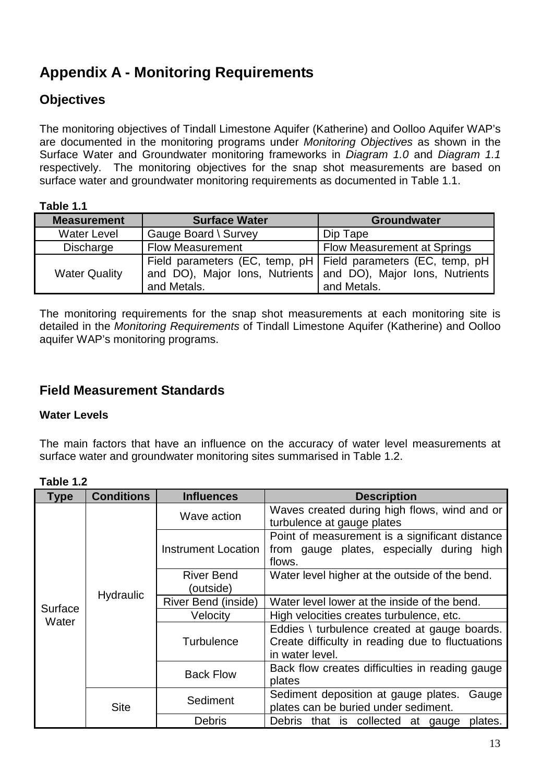# <span id="page-12-0"></span>**Appendix A - Monitoring Requirements**

#### <span id="page-12-1"></span>**Objectives**

The monitoring objectives of Tindall Limestone Aquifer (Katherine) and Oolloo Aquifer WAP's are documented in the monitoring programs under *Monitoring Objectives* as shown in the Surface Water and Groundwater monitoring frameworks in *Diagram 1.0* and *Diagram 1.1* respectively. The monitoring objectives for the snap shot measurements are based on surface water and groundwater monitoring requirements as documented in Table 1.1.

#### **Table 1.1**

| <b>Measurement</b>   | <b>Surface Water</b>    | <b>Groundwater</b>                                                                                                                                |  |  |
|----------------------|-------------------------|---------------------------------------------------------------------------------------------------------------------------------------------------|--|--|
| <b>Water Level</b>   | Gauge Board \ Survey    | Dip Tape                                                                                                                                          |  |  |
| Discharge            | <b>Flow Measurement</b> | <b>Flow Measurement at Springs</b>                                                                                                                |  |  |
| <b>Water Quality</b> | and Metals.             | Field parameters (EC, temp, pH   Field parameters (EC, temp, pH  <br>and DO), Major Ions, Nutrients and DO), Major Ions, Nutrients<br>and Metals. |  |  |

The monitoring requirements for the snap shot measurements at each monitoring site is detailed in the *Monitoring Requirements* of Tindall Limestone Aquifer (Katherine) and Oolloo aquifer WAP's monitoring programs.

#### <span id="page-12-3"></span><span id="page-12-2"></span>**Field Measurement Standards**

#### **Water Levels**

The main factors that have an influence on the accuracy of water level measurements at surface water and groundwater monitoring sites summarised in Table 1.2.

| IGNIG I.L        |                   |                                |                                                                                                       |                                                                                                                     |  |
|------------------|-------------------|--------------------------------|-------------------------------------------------------------------------------------------------------|---------------------------------------------------------------------------------------------------------------------|--|
| <b>Type</b>      | <b>Conditions</b> | <b>Influences</b>              | <b>Description</b>                                                                                    |                                                                                                                     |  |
| Surface<br>Water | Hydraulic         | Wave action                    | Waves created during high flows, wind and or<br>turbulence at gauge plates                            |                                                                                                                     |  |
|                  |                   | Instrument Location            | Point of measurement is a significant distance<br>from gauge plates, especially during high<br>flows. |                                                                                                                     |  |
|                  |                   | <b>River Bend</b><br>(outside) | Water level higher at the outside of the bend.                                                        |                                                                                                                     |  |
|                  |                   | River Bend (inside)            | Water level lower at the inside of the bend.                                                          |                                                                                                                     |  |
|                  |                   | Velocity                       | High velocities creates turbulence, etc.                                                              |                                                                                                                     |  |
|                  |                   |                                | <b>Turbulence</b>                                                                                     | Eddies \ turbulence created at gauge boards.<br>Create difficulty in reading due to fluctuations<br>in water level. |  |
|                  |                   | <b>Back Flow</b>               | Back flow creates difficulties in reading gauge<br>plates                                             |                                                                                                                     |  |
|                  | <b>Site</b>       | Sediment                       | Sediment deposition at gauge plates.<br>Gauge<br>plates can be buried under sediment.                 |                                                                                                                     |  |
|                  |                   | <b>Debris</b>                  | Debris that is collected at gauge<br>plates.                                                          |                                                                                                                     |  |

#### **Table 1.2**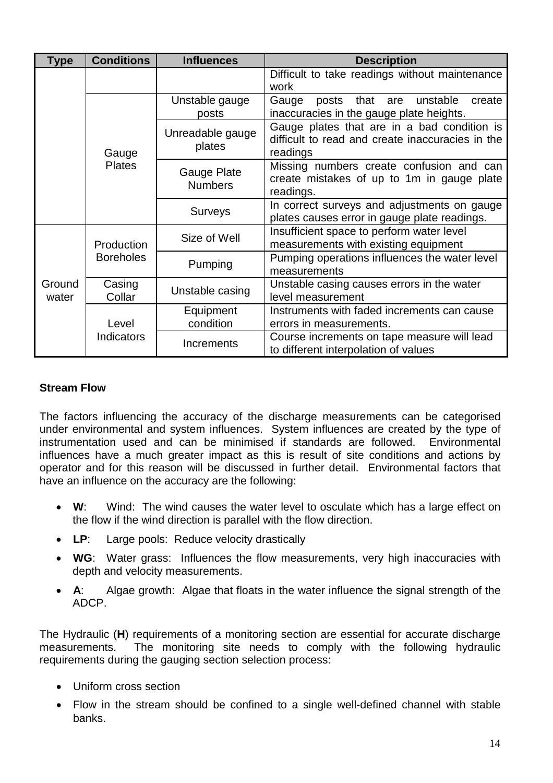| Type            | <b>Conditions</b>                   | <b>Influences</b><br><b>Description</b> |                                                                                                             |  |  |  |  |  |  |
|-----------------|-------------------------------------|-----------------------------------------|-------------------------------------------------------------------------------------------------------------|--|--|--|--|--|--|
|                 |                                     |                                         | Difficult to take readings without maintenance<br>work                                                      |  |  |  |  |  |  |
|                 |                                     | Unstable gauge<br>posts                 | posts that are<br>Gauge<br>unstable<br>create<br>inaccuracies in the gauge plate heights.                   |  |  |  |  |  |  |
|                 | Gauge                               | Unreadable gauge<br>plates              | Gauge plates that are in a bad condition is<br>difficult to read and create inaccuracies in the<br>readings |  |  |  |  |  |  |
|                 | <b>Plates</b>                       | Gauge Plate<br><b>Numbers</b>           | Missing numbers create confusion and can<br>create mistakes of up to 1m in gauge plate<br>readings.         |  |  |  |  |  |  |
|                 |                                     | Surveys                                 | In correct surveys and adjustments on gauge<br>plates causes error in gauge plate readings.                 |  |  |  |  |  |  |
|                 | Production                          | Size of Well                            | Insufficient space to perform water level<br>measurements with existing equipment                           |  |  |  |  |  |  |
|                 | <b>Boreholes</b>                    | Pumping                                 | Pumping operations influences the water level<br>measurements                                               |  |  |  |  |  |  |
| Ground<br>water | Casing<br>Unstable casing<br>Collar |                                         | Unstable casing causes errors in the water<br>level measurement                                             |  |  |  |  |  |  |
|                 | Level                               | Equipment<br>condition                  | Instruments with faded increments can cause<br>errors in measurements.                                      |  |  |  |  |  |  |
|                 | <b>Indicators</b>                   | Increments                              | Course increments on tape measure will lead<br>to different interpolation of values                         |  |  |  |  |  |  |

#### <span id="page-13-0"></span>**Stream Flow**

The factors influencing the accuracy of the discharge measurements can be categorised under environmental and system influences. System influences are created by the type of instrumentation used and can be minimised if standards are followed. Environmental influences have a much greater impact as this is result of site conditions and actions by operator and for this reason will be discussed in further detail. Environmental factors that have an influence on the accuracy are the following:

- **W**: Wind: The wind causes the water level to osculate which has a large effect on the flow if the wind direction is parallel with the flow direction.
- **LP**: Large pools: Reduce velocity drastically
- **WG**: Water grass: Influences the flow measurements, very high inaccuracies with depth and velocity measurements.
- **A**: Algae growth: Algae that floats in the water influence the signal strength of the ADCP.

The Hydraulic (**H**) requirements of a monitoring section are essential for accurate discharge measurements. The monitoring site needs to comply with the following hydraulic requirements during the gauging section selection process:

- Uniform cross section
- Flow in the stream should be confined to a single well-defined channel with stable banks.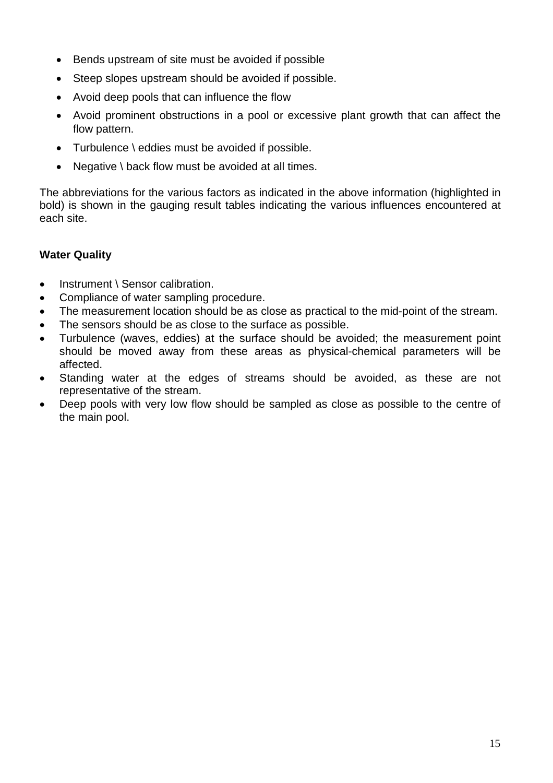- Bends upstream of site must be avoided if possible
- Steep slopes upstream should be avoided if possible.
- Avoid deep pools that can influence the flow
- Avoid prominent obstructions in a pool or excessive plant growth that can affect the flow pattern.
- Turbulence \ eddies must be avoided if possible.
- Negative \ back flow must be avoided at all times.

The abbreviations for the various factors as indicated in the above information (highlighted in bold) is shown in the gauging result tables indicating the various influences encountered at each site.

#### <span id="page-14-0"></span>**Water Quality**

- Instrument \ Sensor calibration.
- Compliance of water sampling procedure.
- The measurement location should be as close as practical to the mid-point of the stream.
- The sensors should be as close to the surface as possible.
- Turbulence (waves, eddies) at the surface should be avoided; the measurement point should be moved away from these areas as physical-chemical parameters will be affected.
- Standing water at the edges of streams should be avoided, as these are not representative of the stream.
- Deep pools with very low flow should be sampled as close as possible to the centre of the main pool.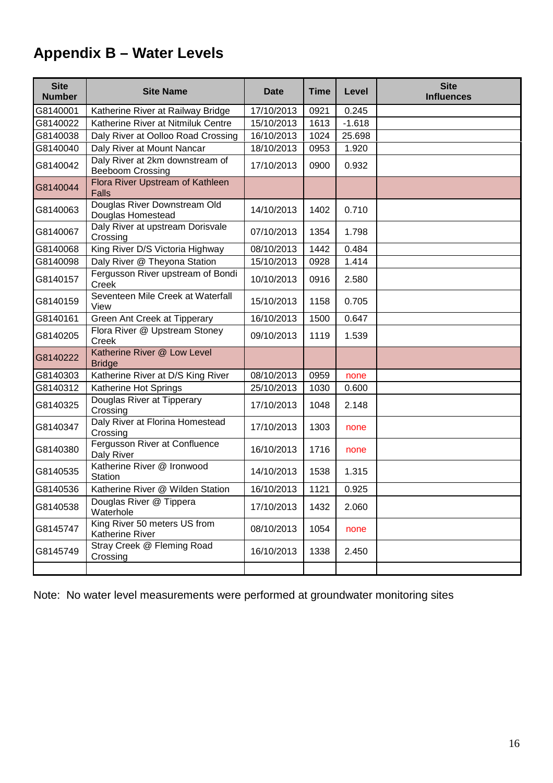# <span id="page-15-0"></span>**Appendix B – Water Levels**

| <b>Site</b><br><b>Number</b> | <b>Site Name</b>                                           | <b>Date</b> | <b>Time</b> | Level    | <b>Site</b><br><b>Influences</b> |
|------------------------------|------------------------------------------------------------|-------------|-------------|----------|----------------------------------|
| G8140001                     | Katherine River at Railway Bridge                          | 17/10/2013  | 0921        | 0.245    |                                  |
| G8140022                     | Katherine River at Nitmiluk Centre                         | 15/10/2013  | 1613        | $-1.618$ |                                  |
| G8140038                     | Daly River at Oolloo Road Crossing                         | 16/10/2013  | 1024        | 25.698   |                                  |
| G8140040                     | Daly River at Mount Nancar                                 | 18/10/2013  | 0953        | 1.920    |                                  |
| G8140042                     | Daly River at 2km downstream of<br><b>Beeboom Crossing</b> | 17/10/2013  | 0900        | 0.932    |                                  |
| G8140044                     | Flora River Upstream of Kathleen<br><b>Falls</b>           |             |             |          |                                  |
| G8140063                     | Douglas River Downstream Old<br>Douglas Homestead          | 14/10/2013  | 1402        | 0.710    |                                  |
| G8140067                     | Daly River at upstream Dorisvale<br>Crossing               | 07/10/2013  | 1354        | 1.798    |                                  |
| G8140068                     | King River D/S Victoria Highway                            | 08/10/2013  | 1442        | 0.484    |                                  |
| G8140098                     | Daly River @ Theyona Station                               | 15/10/2013  | 0928        | 1.414    |                                  |
| G8140157                     | Fergusson River upstream of Bondi<br>Creek                 | 10/10/2013  | 0916        | 2.580    |                                  |
| G8140159                     | Seventeen Mile Creek at Waterfall<br>View                  | 15/10/2013  | 1158        | 0.705    |                                  |
| G8140161                     | Green Ant Creek at Tipperary                               | 16/10/2013  | 1500        | 0.647    |                                  |
| G8140205                     | Flora River @ Upstream Stoney<br>Creek                     | 09/10/2013  | 1119        | 1.539    |                                  |
| G8140222                     | Katherine River @ Low Level<br><b>Bridge</b>               |             |             |          |                                  |
| G8140303                     | Katherine River at D/S King River                          | 08/10/2013  | 0959        | none     |                                  |
| G8140312                     | Katherine Hot Springs                                      | 25/10/2013  | 1030        | 0.600    |                                  |
| G8140325                     | Douglas River at Tipperary<br>Crossing                     | 17/10/2013  | 1048        | 2.148    |                                  |
| G8140347                     | Daly River at Florina Homestead<br>Crossing                | 17/10/2013  | 1303        | none     |                                  |
| G8140380                     | Fergusson River at Confluence<br>Daly River                | 16/10/2013  | 1716        | none     |                                  |
| G8140535                     | Katherine River @ Ironwood<br>Station                      | 14/10/2013  | 1538        | 1.315    |                                  |
| G8140536                     | Katherine River @ Wilden Station                           | 16/10/2013  | 1121        | 0.925    |                                  |
| G8140538                     | Douglas River @ Tippera<br>Waterhole                       | 17/10/2013  | 1432        | 2.060    |                                  |
| G8145747                     | King River 50 meters US from<br>Katherine River            | 08/10/2013  | 1054        | none     |                                  |
| G8145749                     | Stray Creek @ Fleming Road<br>Crossing                     | 16/10/2013  | 1338        | 2.450    |                                  |
|                              |                                                            |             |             |          |                                  |

Note: No water level measurements were performed at groundwater monitoring sites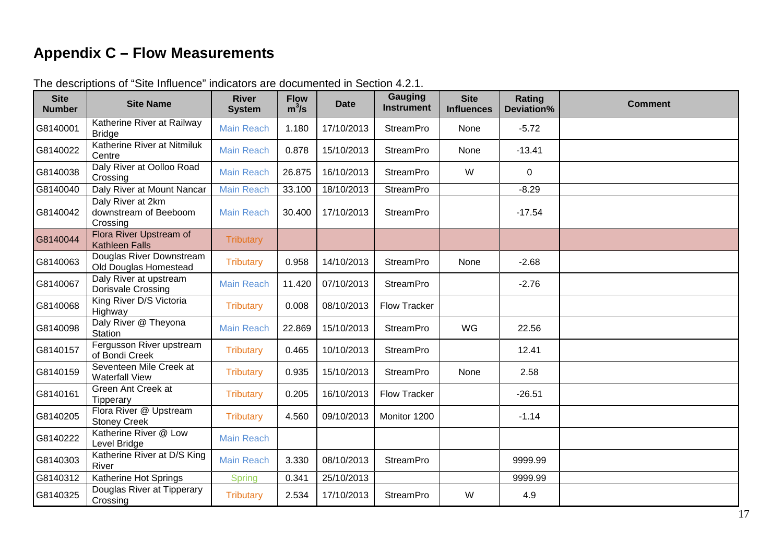# **Appendix C – Flow Measurements**

<span id="page-16-0"></span>

| <b>Site</b><br><b>Number</b> | <b>Site Name</b>                                       | <b>River</b><br><b>System</b> | <b>Flow</b><br>$m^3/s$ | <b>Date</b> | <b>Gauging</b><br><b>Instrument</b> | <b>Site</b><br><b>Influences</b> | Rating<br>Deviation% | <b>Comment</b> |
|------------------------------|--------------------------------------------------------|-------------------------------|------------------------|-------------|-------------------------------------|----------------------------------|----------------------|----------------|
| G8140001                     | Katherine River at Railway<br><b>Bridge</b>            | <b>Main Reach</b>             | 1.180                  | 17/10/2013  | <b>StreamPro</b>                    | None                             | $-5.72$              |                |
| G8140022                     | Katherine River at Nitmiluk<br>Centre                  | <b>Main Reach</b>             | 0.878                  | 15/10/2013  | <b>StreamPro</b>                    | None                             | $-13.41$             |                |
| G8140038                     | Daly River at Oolloo Road<br>Crossing                  | <b>Main Reach</b>             | 26.875                 | 16/10/2013  | <b>StreamPro</b>                    | W                                | $\mathbf{0}$         |                |
| G8140040                     | Daly River at Mount Nancar                             | <b>Main Reach</b>             | 33.100                 | 18/10/2013  | <b>StreamPro</b>                    |                                  | $-8.29$              |                |
| G8140042                     | Daly River at 2km<br>downstream of Beeboom<br>Crossing | <b>Main Reach</b>             | 30.400                 | 17/10/2013  | <b>StreamPro</b>                    |                                  | $-17.54$             |                |
| G8140044                     | Flora River Upstream of<br><b>Kathleen Falls</b>       | Tributary                     |                        |             |                                     |                                  |                      |                |
| G8140063                     | Douglas River Downstream<br>Old Douglas Homestead      | <b>Tributary</b>              | 0.958                  | 14/10/2013  | <b>StreamPro</b>                    | None                             | $-2.68$              |                |
| G8140067                     | Daly River at upstream<br>Dorisvale Crossing           | <b>Main Reach</b>             | 11.420                 | 07/10/2013  | <b>StreamPro</b>                    |                                  | $-2.76$              |                |
| G8140068                     | King River D/S Victoria<br>Highway                     | <b>Tributary</b>              | 0.008                  | 08/10/2013  | <b>Flow Tracker</b>                 |                                  |                      |                |
| G8140098                     | Daly River @ Theyona<br><b>Station</b>                 | <b>Main Reach</b>             | 22.869                 | 15/10/2013  | <b>StreamPro</b>                    | WG                               | 22.56                |                |
| G8140157                     | Fergusson River upstream<br>of Bondi Creek             | <b>Tributary</b>              | 0.465                  | 10/10/2013  | <b>StreamPro</b>                    |                                  | 12.41                |                |
| G8140159                     | Seventeen Mile Creek at<br><b>Waterfall View</b>       | <b>Tributary</b>              | 0.935                  | 15/10/2013  | <b>StreamPro</b>                    | None                             | 2.58                 |                |
| G8140161                     | Green Ant Creek at<br>Tipperary                        | <b>Tributary</b>              | 0.205                  | 16/10/2013  | <b>Flow Tracker</b>                 |                                  | $-26.51$             |                |
| G8140205                     | Flora River @ Upstream<br><b>Stoney Creek</b>          | <b>Tributary</b>              | 4.560                  | 09/10/2013  | Monitor 1200                        |                                  | $-1.14$              |                |
| G8140222                     | Katherine River @ Low<br>Level Bridge                  | <b>Main Reach</b>             |                        |             |                                     |                                  |                      |                |
| G8140303                     | Katherine River at D/S King<br>River                   | <b>Main Reach</b>             | 3.330                  | 08/10/2013  | <b>StreamPro</b>                    |                                  | 9999.99              |                |
| G8140312                     | Katherine Hot Springs                                  | <b>Spring</b>                 | 0.341                  | 25/10/2013  |                                     |                                  | 9999.99              |                |
| G8140325                     | Douglas River at Tipperary<br>Crossing                 | <b>Tributary</b>              | 2.534                  | 17/10/2013  | <b>StreamPro</b>                    | W                                | 4.9                  |                |

#### The descriptions of "Site Influence" indicators are documented in Section 4.2.1.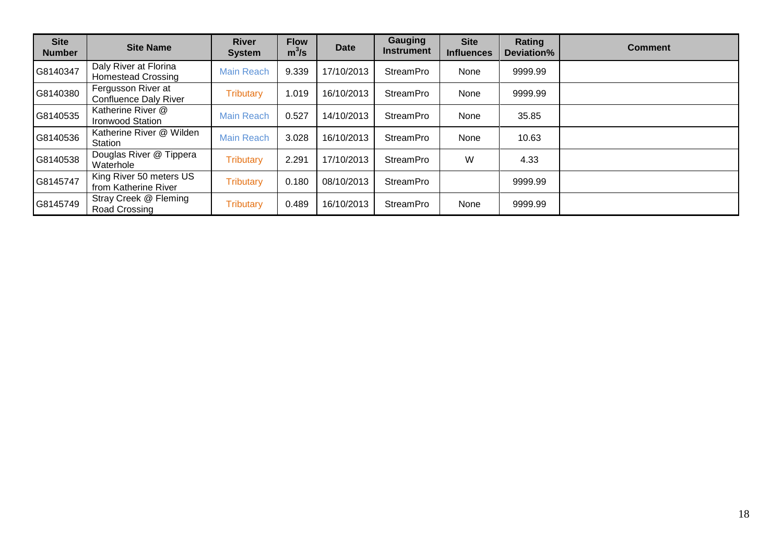| <b>Site</b><br><b>Number</b> | <b>Site Name</b>                                   | <b>River</b><br><b>System</b> | <b>Flow</b><br>$m^3/s$ | <b>Date</b> | <b>Gauging</b><br><b>Instrument</b> | <b>Site</b><br><b>Influences</b> | Rating<br>Deviation% | <b>Comment</b> |
|------------------------------|----------------------------------------------------|-------------------------------|------------------------|-------------|-------------------------------------|----------------------------------|----------------------|----------------|
| G8140347                     | Daly River at Florina<br><b>Homestead Crossing</b> | <b>Main Reach</b>             | 9.339                  | 17/10/2013  | <b>StreamPro</b>                    | None                             | 9999.99              |                |
| G8140380                     | Fergusson River at<br><b>Confluence Daly River</b> | <b>Tributary</b>              | 1.019                  | 16/10/2013  | <b>StreamPro</b>                    | None                             | 9999.99              |                |
| G8140535                     | Katherine River @<br><b>Ironwood Station</b>       | <b>Main Reach</b>             | 0.527                  | 14/10/2013  | <b>StreamPro</b>                    | None                             | 35.85                |                |
| G8140536                     | Katherine River @ Wilden<br>Station                | <b>Main Reach</b>             | 3.028                  | 16/10/2013  | <b>StreamPro</b>                    | None                             | 10.63                |                |
| G8140538                     | Douglas River @ Tippera<br>Waterhole               | <b>Tributary</b>              | 2.291                  | 17/10/2013  | <b>StreamPro</b>                    | W                                | 4.33                 |                |
| G8145747                     | King River 50 meters US<br>from Katherine River    | <b>Tributary</b>              | 0.180                  | 08/10/2013  | <b>StreamPro</b>                    |                                  | 9999.99              |                |
| G8145749                     | Stray Creek @ Fleming<br>Road Crossing             | <b>Tributary</b>              | 0.489                  | 16/10/2013  | <b>StreamPro</b>                    | None                             | 9999.99              |                |